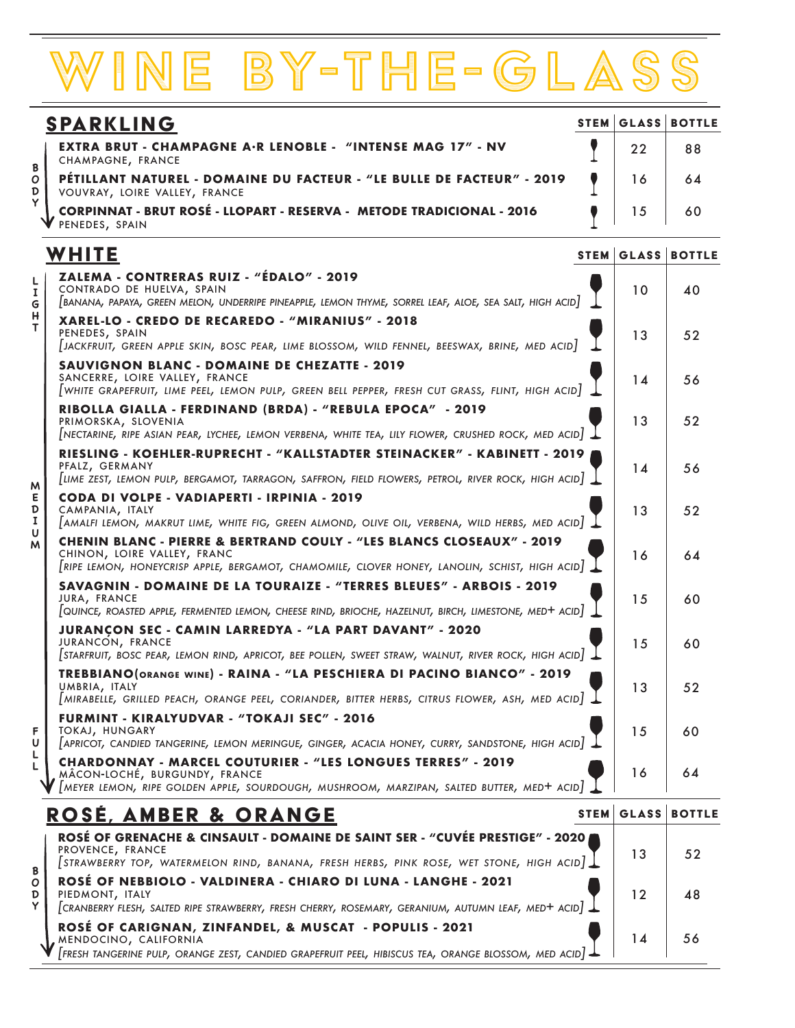## wine by-the-glass

| <b>SPARKLING</b> |                                                                                                        |    | <b>STEM GLASS BOTTLE</b> |
|------------------|--------------------------------------------------------------------------------------------------------|----|--------------------------|
| B                | <b>EXTRA BRUT - CHAMPAGNE A·R LENOBLE - "INTENSE MAG 17" - NV</b><br>CHAMPAGNE, FRANCE                 | 22 | 88                       |
|                  | PÉTILLANT NATUREL - DOMAINE DU FACTEUR - "LE BULLE DE FACTEUR" - 2019<br>VOUVRAY, LOIRE VALLEY, FRANCE |    | 64                       |
|                  | CORPINNAT - BRUT ROSÉ - LLOPART - RESERVA - METODE TRADICIONAL - 2016<br>PENEDES, SPAIN                |    | 60                       |

## **WHITE**

**BODYLIGHT**<br>BODYLIGHTFULLMEDIUM<br>BODYLIGHTFULLMEDIUM

|                                                                                    | WHITE                                                                                                                                                                                                             | <b>STEM GLASS BOTTLE</b> |    |
|------------------------------------------------------------------------------------|-------------------------------------------------------------------------------------------------------------------------------------------------------------------------------------------------------------------|--------------------------|----|
| L<br>1<br>G<br>н<br>т<br>M<br>Е<br>D<br>$\mathbf{I}$<br>U<br>M<br>F<br>U<br>L<br>L | ZALEMA - CONTRERAS RUIZ - "ÉDALO" - 2019<br>CONTRADO DE HUELVA, SPAIN<br>[BANANA, PAPAYA, GREEN MELON, UNDERRIPE PINEAPPLE, LEMON THYME, SORREL LEAF, ALOE, SEA SALT, HIGH ACID]                                  | 10                       | 40 |
|                                                                                    | XAREL-LO - CREDO DE RECAREDO - "MIRANIUS" - 2018<br>PENEDES, SPAIN<br>[JACKFRUIT, GREEN APPLE SKIN, BOSC PEAR, LIME BLOSSOM, WILD FENNEL, BEESWAX, BRINE, MED ACID                                                | 13                       | 52 |
|                                                                                    | <b>SAUVIGNON BLANC - DOMAINE DE CHEZATTE - 2019</b><br>SANCERRE, LOIRE VALLEY, FRANCE<br>$[$ WHITE GRAPEFRUIT, LIME PEEL, LEMON PULP, GREEN BELL PEPPER, FRESH CUT GRASS, FLINT, HIGH ACID $]$                    | 14                       | 56 |
|                                                                                    | RIBOLLA GIALLA - FERDINAND (BRDA) - "REBULA EPOCA" - 2019<br>PRIMORSKA, SLOVENIA<br>[NECTARINE, RIPE ASIAN PEAR, LYCHEE, LEMON VERBENA, WHITE TEA, LILY FLOWER, CRUSHED ROCK, MED ACID]                           | 13                       | 52 |
|                                                                                    | RIESLING - KOEHLER-RUPRECHT - "KALLSTADTER STEINACKER" - KABINETT - 2019<br>PFALZ, GERMANY<br> LIME ZEST, LEMON PULP, BERGAMOT, TARRAGON, SAFFRON, FIELD FLOWERS, PETROL, RIVER ROCK, HIGH ACID                   | 14                       | 56 |
|                                                                                    | CODA DI VOLPE - VADIAPERTI - IRPINIA - 2019<br>CAMPANIA, ITALY<br>[AMALFI LEMON, MAKRUT LIME, WHITE FIG, GREEN ALMOND, OLIVE OIL, VERBENA, WILD HERBS, MED ACID]                                                  | 13                       | 52 |
|                                                                                    | <b>CHENIN BLANC - PIERRE &amp; BERTRAND COULY - "LES BLANCS CLOSEAUX" - 2019</b><br>CHINON, LOIRE VALLEY, FRANC<br>[RIPE LEMON, HONEYCRISP APPLE, BERGAMOT, CHAMOMILE, CLOVER HONEY, LANOLIN, SCHIST, HIGH ACID]. | 16                       | 64 |
|                                                                                    | SAVAGNIN - DOMAINE DE LA TOURAIZE - "TERRES BLEUES" - ARBOIS - 2019<br>JURA, FRANCE<br>[QUINCE, ROASTED APPLE, FERMENTED LEMON, CHEESE RIND, BRIOCHE, HAZELNUT, BIRCH, LIMESTONE, MED+ ACID                       | 15                       | 60 |
|                                                                                    | <b>JURANCON SEC - CAMIN LARREDYA - "LA PART DAVANT" - 2020</b><br>JURANCON, FRANCE<br>STARFRUIT, BOSC PEAR, LEMON RIND, APRICOT, BEE POLLEN, SWEET STRAW, WALNUT, RIVER ROCK, HIGH ACID  .                        | 15                       | 60 |
|                                                                                    | TREBBIANO (ORANGE WINE) - RAINA - "LA PESCHIERA DI PACINO BIANCO" - 2019<br>UMBRIA, ITALY<br>[MIRABELLE, GRILLED PEACH, ORANGE PEEL, CORIANDER, BITTER HERBS, CITRUS FLOWER, ASH, MED ACID]                       | 13                       | 52 |
|                                                                                    | FURMINT - KIRALYUDVAR - "TOKAJI SEC" - 2016<br>TOKAJ, HUNGARY<br>  APRICOT, CANDIED TANGERINE, LEMON MERINGUE, GINGER, ACACIA HONEY, CURRY, SANDSTONE, HIGH ACID                                                  | 15                       | 60 |
|                                                                                    | <b>CHARDONNAY - MARCEL COUTURIER - "LES LONGUES TERRES" - 2019</b><br>MÂCON-LOCHÉ, BURGUNDY, FRANCE<br>$[$ MEYER LEMON, RIPE GOLDEN APPLE, SOURDOUGH, MUSHROOM, MARZIPAN, SALTED BUTTER, MED+ ACID $]$            | 16                       | 64 |
|                                                                                    | <u>ROSE, AMBER &amp; ORANGE</u>                                                                                                                                                                                   | <b>STEM GLASS BOTTLE</b> |    |

|   | KUJE, AMBEK & UKANUE                                                                                                                                                                                             |                   | SIEM I GLASS I BUTTLE |
|---|------------------------------------------------------------------------------------------------------------------------------------------------------------------------------------------------------------------|-------------------|-----------------------|
| B | ROSÉ OF GRENACHE & CINSAULT - DOMAINE DE SAINT SER - "CUVÉE PRESTIGE" - 2020<br>PROVENCE, FRANCE<br>$\sqrt{\text{STRAWBERT}}$ top, watermelon rind, banana, fresh herbs, pink rose, wet stone, high acid $\perp$ | 13                | 52                    |
|   | ROSÉ OF NEBBIOLO - VALDINERA - CHIARO DI LUNA - LANGHE - 2021<br>PIEDMONT, ITALY<br>CRANBERRY FLESH, SALTED RIPE STRAWBERRY, FRESH CHERRY, ROSEMARY, GERANIUM, AUTUMN LEAF, MED+ ACID                            | 12                | $\overline{AB}$       |
|   | ROSÉ OF CARIGNAN, ZINFANDEL, & MUSCAT - POPULIS - 2021<br>MENDOCINO, CALIFORNIA<br>Fresh tangerine pulp, orange zest, candied grapefruit peel, hibiscus tea, orange blossom, med acid) $\perp$                   | $^{\mathsf{T}}$ 4 | 56                    |